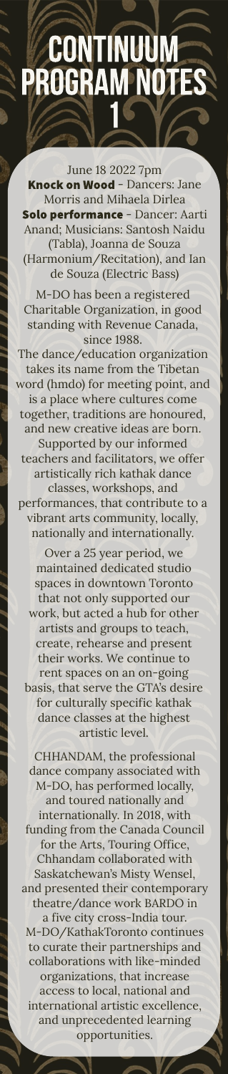### **CONTINUUM**<br>PROGRAM NOTES

June 18 2022 7pm Knock on Wood - Dancers: Jane Morris and Mihaela Dirlea Solo performance - Dancer: Aarti Anand; Musicians: Santosh Naidu (Tabla), Joanna de Souza (Harmonium/Recitation), and Ian de Souza (Electric Bass)

M-DO has been a registered Charitable Organization, in good standing with Revenue Canada, since 1988.

The dance/education organization takes its name from the Tibetan word (hmdo) for meeting point, and is a place where cultures come together, traditions are honoured, and new creative ideas are born. Supported by our informed teachers and facilitators, we offer artistically rich kathak dance classes, workshops, and performances, that contribute to a vibrant arts community, locally, nationally and internationally.

basis, that serve the GTA's desire for culturally specific kathak dance classes at the highest artistic level. Over a 25 year period, we maintained dedicated studio spaces in downtown Toronto that not only supported our work, but acted a hub for other artists and groups to teach, create, rehearse and present their works. We continue to rent spaces on an on-going

collaborations with like-minded CHHANDAM, the professional dance company associated with and presented their contemporary M-DO/KathakToronto continues to curate their partnerships and M-DO, has performed locally, and toured nationally and internationally. In 2018, with funding from the Canada Council for the Arts, Touring Office, Chhandam collaborated with Saskatchewan's Misty Wensel, theatre/dance work BARDO in a five city cross-India tour. organizations, that increase access to local, national and international artistic excellence, and unprecedented learning opportunities.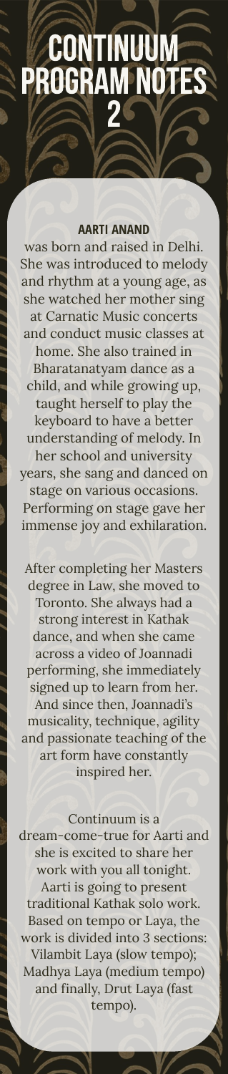### **CONTINUUM<br>PROGRAM NOTES**

### **AARTI ANAND**

was born and raised in Delhi. She was introduced to melody and rhythm at a young age, as she watched her mother sing at Carnatic Music concerts and conduct music classes at home. She also trained in Bharatanatyam dance as a child, and while growing up, taught herself to play the keyboard to have a better understanding of melody. In her school and university years, she sang and danced on stage on various occasions. Performing on stage gave her immense joy and exhilaration.

After completing her Masters degree in Law, she moved to Toronto. She always had a strong interest in Kathak dance, and when she came across a video of Joannadi performing, she immediately signed up to learn from her. And since then, Joannadi's musicality, technique, agility and passionate teaching of the art form have constantly inspired her.

Aarti is going to present Vilambit Laya (slow tempo); traditional Kathak solo work. Based on tempo or Laya, the work is divided into 3 sections: Madhya Laya (medium tempo) and finally, Drut Laya (fast tempo). Continuum is a dream-come-true for Aarti and she is excited to share her work with you all tonight.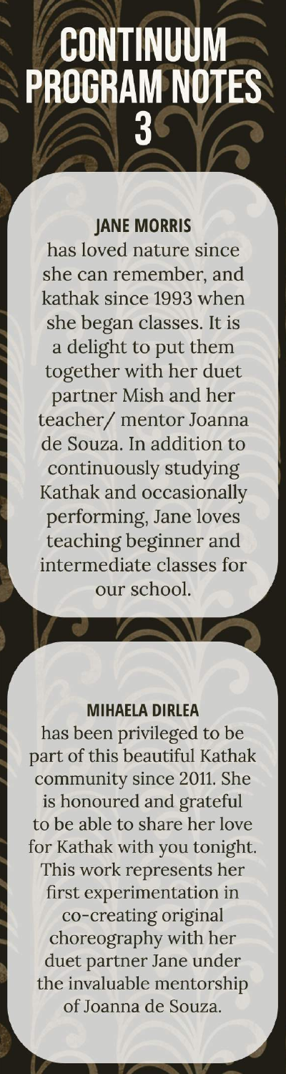### **CONTINUUM<br>PROGRAM NOTES** 3

### **JANE MORRIS**

has loved nature since she can remember, and kathak since 1993 when she began classes. It is a delight to put them together with her duet partner Mish and her teacher/ mentor Joanna de Souza. In addition to continuously studying Kathak and occasionally performing, Jane loves teaching beginner and intermediate classes for our school.

### **MIHAELA DIRLEA**

has been privileged to be part of this beautiful Kathak community since 2011. She is honoured and grateful to be able to share her love for Kathak with you tonight. This work represents her first experimentation in co-creating original choreography with her duet partner Jane under the invaluable mentorship of Joanna de Souza.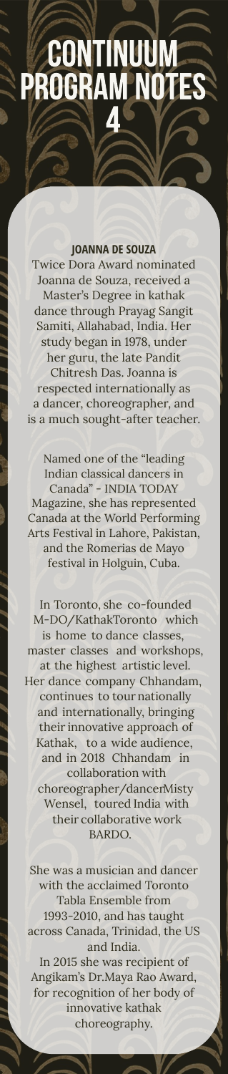### **CONTINUUM**<br>PROGRAM NOTE

### **JOANNA DE SOUZA**

Twice Dora Award nominated Joanna de Souza, received a Master's Degree in kathak dance through Prayag Sangit Samiti, Allahabad, India. Her study began in 1978, under her guru, the late Pandit Chitresh Das. Joanna is respected internationally as a dancer, choreographer, and is a much sought-after teacher.

festival in Holguin, Cuba. Named one of the "leading Indian classical dancers in Canada" - INDIA TODAY Magazine, she has represented Canada at the World Performing Arts Festival in Lahore, Pakistan, and the Romerias de Mayo

She was a musician and dancer with the acclaimed Toronto Tabla Ensemble from 1993-2010, and has taught across Canada, Trinidad, the US and India.

choreography. In 2015 she was recipient of Angikam's Dr.Maya Rao Award, for recognition of her body of innovative kathak

In Toronto, she co-founded M-DO/KathakToronto which is home to dance classes, master classes and workshops, at the highest artistic level.

Her dance company Chhandam, continues to tour nationally and internationally, bringing their innovative approach of Kathak, to a wide audience, and in 2018 Chhandam in collaboration with choreographer/dancerMisty Wensel, toured India with their collaborative work BARDO.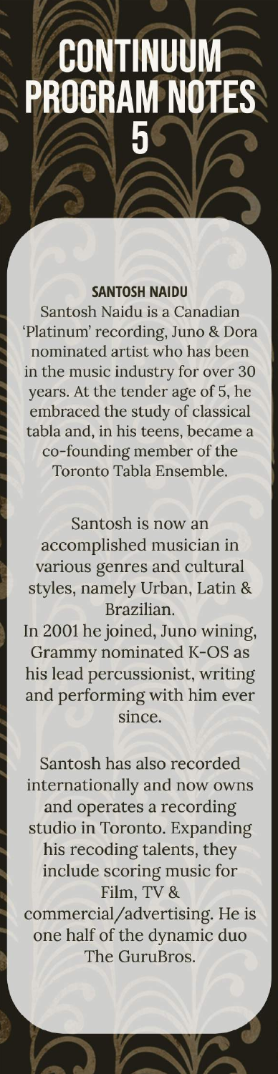# **CONTINUUM**<br>PROGRAM NOT

### **SANTOSH NAIDU**

Santosh Naidu is a Canadian 'Platinum' recording, Juno & Dora nominated artist who has been in the music industry for over 30 years. At the tender age of 5, he embraced the study of classical tabla and, in his teens, became a co-founding member of the Toronto Tabla Ensemble.

Santosh is now an accomplished musician in various genres and cultural styles, namely Urban, Latin & Brazilian.

In 2001 he joined, Juno wining, Grammy nominated K-OS as his lead percussionist, writing and performing with him ever since.

Santosh has also recorded internationally and now owns and operates a recording studio in Toronto. Expanding his recoding talents, they include scoring music for Film, TV &

commercial/advertising. He is one half of the dynamic duo The GuruBros.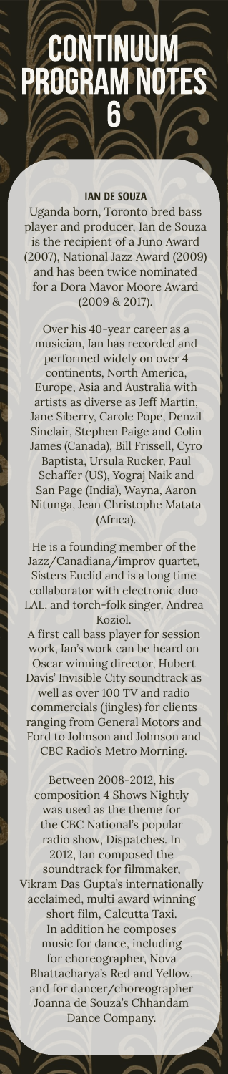acclaimed, multi award winning short film, Calcutta Taxi. Between 2008-2012, his composition 4 Shows Nightly was used as the theme for the CBC National's popular radio show, Dispatches. In 2012, Ian composed the soundtrack for filmmaker, Vikram Das Gupta's internationally In addition he composes music for dance, including for choreographer, Nova Bhattacharya's Red and Yellow, and for dancer/choreographer

Joanna de Souza's Chhandam Dance Company.

Koziol. He is a founding member of the Jazz/Canadiana/improv quartet, Sisters Euclid and is a long time collaborator with electronic duo LAL, and torch-folk singer, Andrea

CBC Radio's Metro Morning. well as over 100 TV and radio commercials (jingles) for clients ranging from General Motors and Ford to Johnson and Johnson and

A first call bass player for session work, Ian's work can be heard on Oscar winning director, Hubert

Davis' Invisible City soundtrack as

## **CONTINUUM**<br>PROGRAM NOTES

### **IAN DE SOUZA**

2017). (2009 & Uganda born, Toronto bred bass player and producer, Ian de Souza is the recipient of a Juno Award (2007), National Jazz Award (2009) and has been twice nominated for a Dora Mavor Moore Award

Over his 40-year career as a musician, Ian has recorded and performed widely on over 4

continents, North America, Europe, Asia and Australia with artists as diverse as Jeff Martin, Jane Siberry, Carole Pope, Denzil Sinclair, Stephen Paige and Colin James (Canada), Bill Frissell, Cyro Baptista, Ursula Rucker, Paul

Schaffer (US), Yograj Naik and San Page (India), Wayna, Aaron Nitunga, Jean Christophe Matata (Africa).